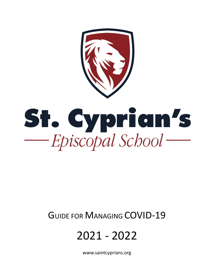St. Cyprian's  $-Episcopal School$ 

## GUIDE FOR MANAGING COVID-19

# 2021 - 2022

www.saintcyprians.org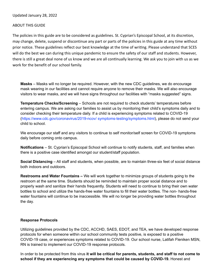## Updated January 28, 2022

#### ABOUT THIS GUIDE

The policies in this guide are to be considered as guidelines. St. Cyprian's Episcopal School, at its discretion, may change, delete, suspend or discontinue any part or parts of the policies in this guide at any time without prior notice. These guidelines reflect our best knowledge at the time of writIng. Please understand that SCES will do the best we can during this unique pandemic to ensure the safety of our staff and students. However, there is still a great deal none of us know and we are all contInually learning. We ask you to join with us as we work for the benefit of our school family.

**Masks** – Masks will no longer be required. However, with the new CDC guidelines, we do encourage mask wearing in our facilities and cannot require anyone to remove their masks. We will also encourage visitors to wear masks, and we will have signs throughout our facilities with "masks suggested" signs.

**Temperature Checks/Screening** – Schools are not required to check students' temperatures before entering campus. We are asking our families to assist us by monitoring their child's symptoms daily and to consider checking their temperature daily. If a child is experiencing symptoms related to COVID-19 (https://www.cdc.gov/coronavirus/2019-ncov/ symptoms-testing/symptoms.html), please do not send your child to school.

We encourage our staff and any visitors to continue to self monitor/self screen for COVID-19 symptoms daily before coming onto campus.

**Notifications** – St. Cyprian's Episcopal School will continue to notify students, staff, and families when there is a positive case identified amongst our student/staff population.

**Social Distancing** – All staff and students, when possible, are to maintain three-six feet of social distance both indoors and outdoors.

**Restrooms and Water Fountains –** We will work together to minimize groups of students going to the restroom at the same time. Students should be reminded to maintain proper social distance and to properly wash and sanitize their hands frequently. Students will need to continue to bring their own water bottles to school and utilize the hands-free water fountains to fill their water bottles. The non- hands-free water fountains will continue to be inaccessible. We will no longer be providing water bottles throughout the day.

#### **Response Protocols**

Utilizing guidelines provided by the CDC, ACCHD, SAES, EDOT, and TEA, we have developed response protocols for when someone within our school community tests positive, is exposed to a positive COVID-19 case, or experiences symptoms related to COVID-19. Our school nurse, Latifah Fleniken MSN, RN is trained to implement our COVID-19 response protocols.

In order to be protected from this virus **it will be critical for parents, students, and staff to not come to school if they are experiencing any symptoms that could be caused by COVID-19.** Honest and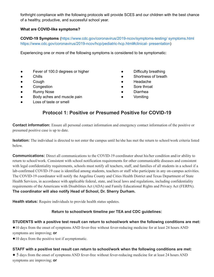forthright compliance with the following protocols will provide SCES and our children with the best chance of a healthy, productive, and successful school year.

## **What are COVID-like symptoms?**

**COVID-19 Symptoms** (https://www.cdc.gov/coronavirus/2019-ncov/symptoms-testing/ symptoms.html https://www.cdc.gov/coronavirus/2019-ncov/hcp/pediatric-hcp.html#clinical- presentation)

Experiencing one or more of the following symptoms is considered to be symptomatic:

- Fever of 100.0 degrees or higher
- Chills
- Cough
- Congestion
- Runny Nose
- Body aches and muscle pain
- Loss of taste or smell
- Difficulty breathing
- Shortness of breath
- Headache
- Sore throat
- Diarrhea
- Vomiting

## **Protocol 1: Positive or Presumed Positive for COVID-19**

**Contact information:** Ensure all personal contact information and emergency contact information of the positive or presumed positive case is up to date.

**Isolation:** The individual is directed to not enter the campus until he/she has met the return to school/work criteria listed below.

**Communications:** Direct all communications to the COVID-19 coordinator about his/her condition and/or ability to return to school/work. Consistent with school notification requirements for other communicable diseases and consistent with legal confidentiality requirements, schools must notify all teachers, staff, and families of all students in a school if a lab-confirmed COVID-19 case is identified among students, teachers or staff who participate in any on-campus activities. The COVID-19 coordinator will notify the Angelina County and Cities Health District and Texas Department of State Health Services, in accordance with applicable federal, state, and local laws and regulations, including confidentiality requirements of the Americans with Disabilities Act (ADA) and Family Educational Rights and Privacy Act (FERPA). **The coordinator will also notify Head of School, Dr. Sherry Durham.**

**Health status:** Require individuals to provide health status updates.

## **Return to school/work timeline per TEA and CDC guidelines:**

## **STUDENTS with a positive test result can return to school/work when the following conditions are met:**

●10 days from the onset of symptoms AND fever-free without fever-reducing medicine for at least 24 hours AND symptoms are improving; **or**

●10 days from the positive test if asymptomatic.

## **STAFF with a positive test result can return to school/work when the following conditions are met:**

• 5 days from the onset of symptoms AND fever-free without fever-reducing medicine for at least 24 hours AND symptoms are improving; **or**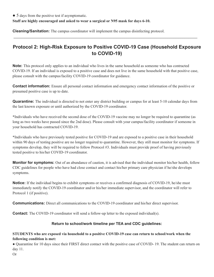● 5 days from the positive test if asymptomatic.

**Staff are highly encouraged and asked to wear a surgical or N95 mask for days 6-10.**

**Cleaning/Sanitation:** The campus coordinator will implement the campus disinfecting protocol.

## **Protocol 2: High-Risk Exposure to Positive COVID-19 Case (Household Exposure to COVID-19)**

 $\_$  ,  $\_$  ,  $\_$  ,  $\_$  ,  $\_$  ,  $\_$  ,  $\_$  ,  $\_$  ,  $\_$  ,  $\_$  ,  $\_$  ,  $\_$  ,  $\_$  ,  $\_$  ,  $\_$  ,  $\_$  ,  $\_$  ,  $\_$  ,  $\_$  ,  $\_$  ,  $\_$  ,  $\_$  ,  $\_$  ,  $\_$  ,  $\_$  ,  $\_$  ,  $\_$  ,  $\_$  ,  $\_$  ,  $\_$  ,  $\_$  ,  $\_$  ,  $\_$  ,  $\_$  ,  $\_$  ,  $\_$  ,  $\_$  ,

**Note:** This protocol only applies to an individual who lives in the same household as someone who has contracted COVID-19. If an individual is exposed to a positive case and does not live in the same household with that positive case, please consult with the campus/facility COVID-19 coordinator for guidance.

**Contact information:** Ensure all personal contact information and emergency contact information of the positive or presumed positive case is up to date.

**Quarantine:** The individual is directed to not enter any district building or campus for at least 5-10 calendar days from the last known exposure or until authorized by the COVID-19 coordinator.

\*Individuals who have received the second dose of the COVID-19 vaccine may no longer be required to quarantine (as long as two weeks have passed since the 2nd dose). Please consult with your campus/facility coordinator if someone in your household has contracted COVID-19.

\*Individuals who have previously tested positive for COVID-19 and are exposed to a positive case in their household within 90 days of testing positive are no longer required to quarantine. However, they still must monitor for symptoms. If symptoms develop, they will be required to follow Protocol #3. Individuals must provide proof of having previously tested positive to his/her COVID-19 coordinator.

**Monitor for symptoms:** Out of an abundance of caution, it is advised that the individual monitor his/her health, follow CDC guidelines for people who have had close contact and contact his/her primary care physician if he/she develops symptoms.

**Notice:** If the individual begins to exhibit symptoms or receives a confirmed diagnosis of COVID-19, he/she must immediately notify the COVID-19 coordinator and/or his/her immediate supervisor, and the coordinator will refer to Protocol 1 (if positive).

**Communications:** Direct all communications to the COVID-19 coordinator and his/her direct supervisor.

**Contact:** The COVID-19 coordinator will send a follow-up letter to the exposed individual(s).

#### **Return to school/work timeline per TEA and CDC guidelines:**

### **STUDENTS who are exposed via household to a positive COVID-19 case can return to school/work when the following condition is met:**

● Quarantine for 10 days since their FIRST direct contact with the positive case of COVID- 19. The student can return on day 11.

Or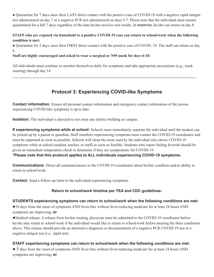• Quarantine for 7 days since their LAST direct contact with the positive case of COVID-19 with a negative rapid antigen test administered on day 7 or a negative PCR test administered on days 5-7. Please note that the individual must remain quarantined for a full 7 days regardless of the date he/she receives test results. In essence, he/she can return on day 8.

## STAFF who are exposed via household to a positive COVID-19 case can return to school/work when the following **condition is met:**

• Quarantine for 5 days since their FIRST direct contact with the positive case of COVID- 19. The staff can return on day 6.

## **Staff are highly encouraged and asked to wear a surgical or N95 mask for days 6-10.**

All individuals must continue to monitor themselves daily for symptoms and take appropriate precautions (e.g., mask wearing) through day 14

## **Protocol 3: Experiencing COVID-like Symptoms**

**Contact information:** Ensure all personal contact information and emergency contact information of the person experiencing COVID-like symptoms is up to date.

**Isolation:** The individual is directed to not enter any district building or campus.

**If experiencing symptoms while at school:** Schools must immediately separate the individual until the student can be picked up by a parent or guardian. Staff members experiencing symptoms must contact the COVID-19 coordinator and must be separated as soon as possible. Schools will clean the areas used by the individual who shows COVID-19 symptoms while at school (student, teacher, or staff) as soon as feasible. Students who report feeling feverish should be given an immediate temperature check to determine if they are symptomatic for COVID-19. **\*Please note that this protocol applies to ALL individuals experiencing COVID-19 symptoms.**

**Communications**: Direct all communications to the COVID-19 coordinator about his/her condition and/or ability to return to school/work.

**Contact:** Send a follow-up letter to the individual experiencing symptoms.

## **Return to school/work timeline per TEA and CDC guidelines:**

## **STUDENTS experiencing symptoms can return to school/work when the following conditions are met:**

●10 days from the onset of symptoms AND fever-free without fever-reducing medicine for at least 24 hours AND symptoms are improving; **or**

●Medical release: A release from his/her treating physician must be submitted to the COVID-19 coordinator before he/she may return to school/work if the individual would like to return to school/work before meeting the three conditions above. This release should provide an alternative diagnosis or documentation of a negative PCR COVID-19 test or a negative antigen test (i.e., rapid test).

## **STAFF experiencing symptoms can return to school/work when the following conditions are met:**

● 5 days from the onset of symptoms AND fever-free without fever-reducing medicine for at least 24 hours AND symptoms are improving; **or**